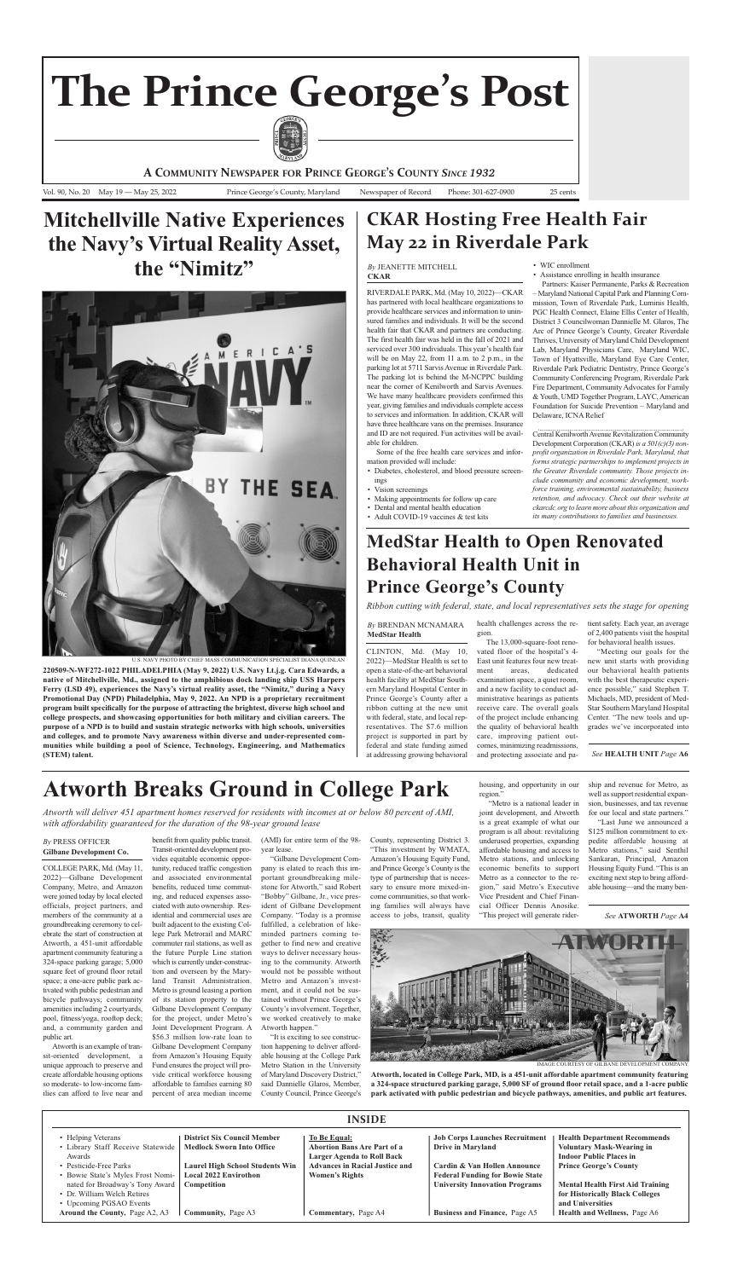rIverdaLe ParK, Md. (May 10, 2022)—cKar has partnered with local healthcare organizations to provide healthcare services and information to uninsured families and individuals. It will be the second health fair that CKAR and partners are conducting. The first health fair was held in the fall of 2021 and serviced over 300 individuals. This year's health fair will be on May 22, from 11 a.m. to 2 p.m., in the parking lot at 5711 Sarvis Avenue in Riverdale Park. The parking lot is behind the M-NCPPC building near the corner of Kenilworth and Sarvis Avenues. We have many healthcare providers confirmed this year, giving families and individuals complete access to services and information. In addition, CKAR will have three healthcare vans on the premises. Insurance and ID are not required. Fun activities will be available for children.

- WIc enrollment
- Assistance enrolling in health insurance

Partners: Kaiser Permanente, Parks & Recreation – Maryland national capital Park and Planning commission, Town of Riverdale Park, Luminis Health, PGC Health Connect, Elaine Ellis Center of Health, District 3 Councilwoman Dannielle M. Glaros, The Arc of Prince George's County, Greater Riverdale Thrives, University of Maryland Child Development Lab, Maryland Physicians care, Maryland WIc, Town of Hyattsville, Maryland Eye Care Center, Riverdale Park Pediatric Dentistry, Prince George's Community Conferencing Program, Riverdale Park Fire Department, Community Advocates for Family & Youth, UMD Together Program, LAYC, American Foundation for Suicide Prevention – Maryland and Delaware, ICNA Relief

Some of the free health care services and information provided will include:

- Diabetes, cholesterol, and blood pressure screenings
- Vision screenings
- Making appointments for follow up care
- Dental and mental health education
- Adult COVID-19 vaccines & test kits

Central Kenilworth Avenue Revitalization Community Development Corporation (CKAR) *is a*  $501(c)(3)$  *nonprofit organization in Riverdale Park, Maryland, that forms strategic partnerships to implement projects in the Greater Riverdale community. Those projects include community and economic development, workforce training, environmental sustainability, business retention, and advocacy. Check out their website at ckarcdc.org to learn more about this organization and its many contributions to families and businesses.*

County, representing District 3. "This investment by WMaTa, Amazon's Housing Equity Fund, and Prince George's County is the type of partnership that is necessary to ensure more mixed-income communities, so that working families will always have access to jobs, transit, quality

cOLLeGe ParK, Md. (May 11, 2022)—Gilbane Development Company, Metro, and Amazon were joined today by local elected officials, project partners, and members of the community at a groundbreaking ceremony to celebrate the start of construction at atworth, a 451-unit affordable apartment community featuring a 324-space parking garage; 5,000 square feet of ground floor retail space; a one-acre public park activated with public pedestrian and bicycle pathways; community amenities including 2 courtyards, pool, fitness/yoga, rooftop deck; and, a community garden and public art.

atworth is an example of transit-oriented development, a unique approach to preserve and create affordable housing options so moderate- to low-income families can afford to live near and

Atworth will deliver 451 apartment homes reserved for residents with incomes at or below 80 percent of AMI, *with affordability guaranteed for the duration of the 98-year ground lease*

## **Mitchellville native experiences the navy's Virtual Reality asset,** the "Nimitz"

benefit from quality public transit. Transit-oriented development provides equitable economic opportunity, reduced traffic congestion and associated environmental benefits, reduced time commuting, and reduced expenses associated with auto ownership. Residential and commercial uses are built adjacent to the existing College Park Metrorail and MARC commuter rail stations, as well as the future Purple Line station which is currently under-construction and overseen by the Maryland Transit Administration. Metro is ground leasing a portion of its station property to the Gilbane Development Company for the project, under Metro's Joint Development Program. A \$56.3 million low-rate loan to Gilbane Development Company from Amazon's Housing Equity Fund ensures the project will provide critical workforce housing affordable to families earning 80 percent of area median income

(aMI) for entire term of the 98 year lease.

"Gilbane Development Company is elated to reach this important groundbreaking milestone for Atworth," said Robert "Bobby" Gilbane, Jr., vice president of Gilbane Development company. "Today is a promise fulfilled, a celebration of likeminded partners coming together to find new and creative ways to deliver necessary housing to the community. Atworth would not be possible without Metro and Amazon's investment, and it could not be sustained without Prince George's county's involvement. Together, we worked creatively to make Atworth happen."

### **By** PRESS OFFICER **Gilbane Development Co.**

"It is exciting to see construction happening to deliver affordable housing at the college Park Metro Station in the University of Maryland Discovery District," said Dannielle Glaros, Member, county council, Prince George's

tient safety. Each year, an average of 2,400 patients visit the hospital for behavioral health issues.

"Meeting our goals for the new unit starts with providing our behavioral health patients with the best therapeutic experience possible," said Stephen T. Michaels, MD, president of Med-

housing, and opportunity in our

region."

"Metro is a national leader in

joint development, and atworth is a great example of what our program is all about: revitalizing underused properties, expanding affordable housing and access to Metro stations, and unlocking economic benefits to support

Metro as a connector to the region," said Metro's Executive vice President and chief Financial Officer Dennis Anosike. "This project will generate ridership and revenue for Metro, as well as support residential expansion, businesses, and tax revenue for our local and state partners."

"Last June we announced a \$125 million commitment to expedite affordable housing at Metro stations," said Senthil Sankaran, Principal, Amazon Housing Equity Fund. "This is an exciting next step to bring affordable housing—and the many ben-

Vol. 90, No. 20 May 19 — May 25, 2022 Prince George's County, Maryland Newspaper of Record Phone: 301-627-0900 25 cents

**A COMMUNITY NEWSPAPER FOR PRINCE GEORGE'S COUNTY** *SINCE 1932*

# **The Prince George's Post**



## **atworth Breaks Ground in College Park**

| <b>INSIDE</b>                                                                                                                                                                                                                                                     |                                                                                                                                                                                              |                                                                                                                                                                                         |                                                                                                                                                                                                                              |                                                                                                                                                                                                                                                                                     |
|-------------------------------------------------------------------------------------------------------------------------------------------------------------------------------------------------------------------------------------------------------------------|----------------------------------------------------------------------------------------------------------------------------------------------------------------------------------------------|-----------------------------------------------------------------------------------------------------------------------------------------------------------------------------------------|------------------------------------------------------------------------------------------------------------------------------------------------------------------------------------------------------------------------------|-------------------------------------------------------------------------------------------------------------------------------------------------------------------------------------------------------------------------------------------------------------------------------------|
| • Helping Veterans<br>• Library Staff Receive Statewide  <br>Awards<br>• Pesticide-Free Parks<br>• Bowie State's Myles Frost Nomi-<br>nated for Broadway's Tony Award<br>• Dr. William Welch Retires<br>• Upcoming PGSAO Events<br>Around the County, Page A2, A3 | <b>District Six Council Member</b><br><b>Medlock Sworn Into Office</b><br><b>Laurel High School Students Win</b><br><b>Local 2022 Envirothon</b><br>Competition<br><b>Community, Page A3</b> | To Be Equal:<br><b>Abortion Bans Are Part of a</b><br><b>Larger Agenda to Roll Back</b><br><b>Advances in Racial Justice and</b><br><b>Women's Rights</b><br><b>Commentary, Page A4</b> | <b>Job Corps Launches Recruitment</b><br><b>Drive in Maryland</b><br>Cardin & Van Hollen Announce<br><b>Federal Funding for Bowie State</b><br><b>University Innovation Programs</b><br><b>Business and Finance, Page A5</b> | <b>Health Department Recommends</b><br><b>Voluntary Mask-Wearing in</b><br><b>Indoor Public Places in</b><br><b>Prince George's County</b><br><b>Mental Health First Aid Training</b><br>for Historically Black Colleges<br>and Universities<br><b>Health and Wellness, Page A6</b> |

### *By* JeaneTTe MITcHeLL **CKaR**



u.S. navy PHOTO By cHIeF MaSS cOMMunIcaTIOn SPecIaLIST dIana QuInLan

**220509-n-wF272-1022 PHilaDelPHia (May 9, 2022) U.S. navy lt.j.g. Cara edwards, a native of Mitchellville, Md., assigned to the amphibious dock landing ship USS Harpers Ferry (lSD 49), experiences the navy's virtual reality asset, the "nimitz," during a navy Promotional Day (nPD) Philadelphia, May 9, 2022. an nPD is a proprietary recruitment program built specifically for the purpose of attracting the brightest, diverse high school and college prospects, and showcasing opportunities for both military and civilian careers. the purpose of a nPD is to build and sustain strategic networks with high schools, universities and colleges, and to promote navy awareness within diverse and under-represented communities while building a pool of Science, technology, engineering, and Mathematics (SteM) talent.**



IMaGe cOurTeSy OF GILBane deveLOPMenT cOMPany

**atworth, located in College Park, MD, is a 451-unit affordable apartment community featuring a 324-space structured parking garage, 5,000 SF of ground floor retail space, and a 1-acre public park activated with public pedestrian and bicycle pathways, amenities, and public art features.**

*See* **atwORtH** *Page* **a4**

cLInTOn, Md. (May 10, 2022)—MedStar Health is set to open a state-of-the-art behavioral health facility at MedStar Southern Maryland Hospital center in Prince George's county after a ribbon cutting at the new unit with federal, state, and local representatives. The \$7.6 million project is supported in part by federal and state funding aimed at addressing growing behavioral

health challenges across the region.

The 13,000-square-foot renovated floor of the hospital's 4- East unit features four new treatment areas, dedicated examination space, a quiet room, and a new facility to conduct administrative hearings as patients receive care. The overall goals of the project include enhancing the quality of behavioral health care, improving patient outcomes, minimizing readmissions, and protecting associate and pa-

Star Southern Maryland Hospital center. "The new tools and upgrades we've incorporated into

*By* Brendan McnaMara **MedStar Health**

## **MedStar Health to Open Renovated Behavioral Health Unit in Prince George's County**

*Ribbon cutting with federal, state, and local representatives sets the stage for opening*

## **CKAR Hosting Free Health Fair May 22 in Riverdale Park**

#### *See* **HealtH Unit** *Page* **a6**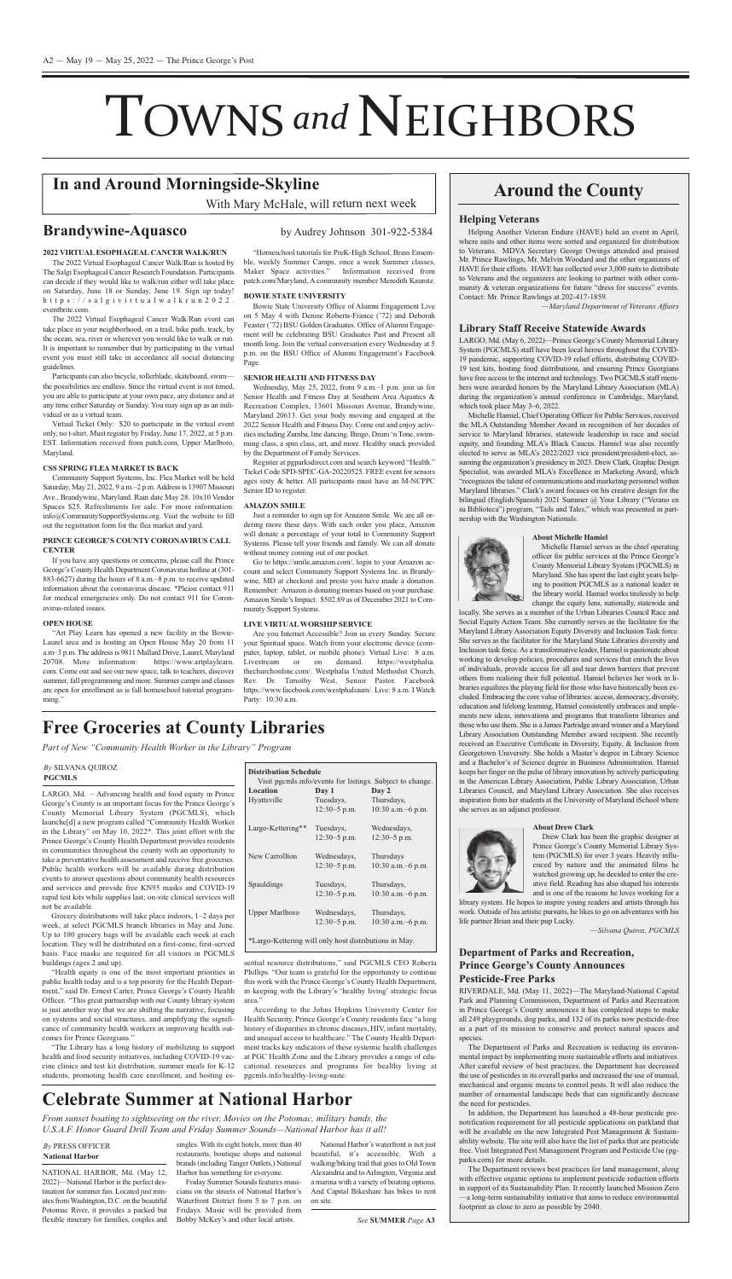# TOWNS and NEIGHBORS

naTIOnaL HarBOr, Md. (May 12, 2022)—National Harbor is the perfect destination for summer fun. Located just minutes from Washington, D.C. on the beautiful Potomac River, it provides a packed but flexible itinerary for families, couples and singles. With its eight hotels, more than 40 restaurants, boutique shops and national brands (including Tanger Outlets,) National Harbor has something for everyone.

National Harbor's waterfront is not just beautiful, it's accessible. With a walking/biking trail that goes to Old Town Alexandria and to Arlington, Virginia and a marina with a variety of boating options. And Capital Bikeshare has bikes to rent on site.

Friday Summer Sounds features musicians on the streets of National Harbor's Waterfront District from 5 to 7 p.m. on Fridays. Music will be provided from Bobby McKey's and other local artists.

### **Helping Veterans**

Helping Another Veteran Endure (HAVE) held an event in April, where suits and other items were sorted and organized for distribution to Veterans. MDVA Secretary George Owings attended and praised Mr. Prince Rawlings, Mr. Melvin Woodard and the other organizers of HAVE for their efforts. HAVE has collected over 3,000 suits to distribute to veterans and the organizers are looking to partner with other community & veteran organizations for future "dress for success" events. Contact: Mr. Prince Rawlings at 202-417-1859.

Michelle Hamiel, chief Operating Officer for Public Services, received the MLA Outstanding Member Award in recognition of her decades of service to Maryland libraries, statewide leadership in race and social equity, and founding MLA's Black Caucus. Hamiel was also recently elected to serve as MLa's 2022/2023 vice president/president-elect, assuming the organization's presidency in 2023. Drew Clark, Graphic Design Specialist, was awarded MLA's Excellence in Marketing Award, which "recognizes the talent of communications and marketing personnel within Maryland libraries." clark's award focuses on his creative design for the bilingual (English/Spanish) 2021 Summer @ Your Library ("Verano en su Biblioteca") program, "Tails and Tales," which was presented in partnership with the Washington Nationals.

*—Maryland Department of Veterans Affairs*

### **library Staff Receive Statewide awards**

LarGO, Md. (May 6, 2022)—Prince George's county Memorial Library System (PGCMLS) staff have been local heroes throughout the COVID-19 pandemic, supporting COVID-19 relief efforts, distributing COVID-19 test kits, hosting food distributions, and ensuring Prince Georgians have free access to the internet and technology. Two PGCMLS staff members were awarded honors by the Maryland Library Association (MLA) during the organization's annual conference in cambridge, Maryland, which took place May 3–6, 2022.

locally. She serves as a member of the Urban Libraries Council Race and Social Equity Action Team. She currently serves as the facilitator for the Maryland Library Association Equity Diversity and Inclusion Task force. She serves as the facilitator for the Maryland State Libraries diversity and Inclusion task force. As a transformative leader, Hamiel is passionate about working to develop policies, procedures and services that enrich the lives of individuals, provide access for all and tear down barriers that prevent others from realizing their full potential. Hamiel believes her work in libraries equalizes the playing field for those who have historically been excluded. Embracing the core value of libraries: access, democracy, diversity, education and lifelong learning, Hamiel consistently embraces and implements new ideas, innovations and programs that transform libraries and those who use them. She is a James Partridge award winner and a Maryland Library Association Outstanding Member award recipient. She recently received an Executive Certificate in Diversity, Equity, & Inclusion from Georgetown University. She holds a Master's degree in Library Science and a Bachelor's of Science degree in Business administration. Hamiel keeps her finger on the pulse of library innovation by actively participating in the American Library Association, Public Library Association, Urban Libraries Council, and Maryland Library Association. She also receives inspiration from her students at the University of Maryland iSchool where she serves as an adjunct professor.

Drew Clark has been the graphic designer at Prince George's county Memorial Library System (PGcMLS) for over 3 years. Heavily influenced by nature and the animated films he watched growing up, he decided to enter the creative field. Reading has also shaped his interests and is one of the reasons he loves working for a

### **about Michelle Hamiel**



RIVERDALE, Md. (May 11, 2022)—The Maryland-National Capital Park and Planning Commission, Department of Parks and Recreation in Prince George's county announces it has completed steps to make all 249 playgrounds, dog parks, and 132 of its parks now pesticide-free as a part of its mission to conserve and protect natural spaces and species.

Michelle Hamiel serves as the chief operating officer for public services at the Prince George's county Memorial Library System (PGcMLS) in Maryland. She has spent the last eight years helping to position PGcMLS as a national leader in the library world. Hamiel works tirelessly to help change the equity lens, nationally, statewide and

The Department of Parks and Recreation is reducing its environmental impact by implementing more sustainable efforts and initiatives. After careful review of best practices, the Department has decreased the use of pesticides in its overall parks and increased the use of manual, mechanical and organic means to control pests. It will also reduce the number of ornamental landscape beds that can significantly decrease the need for pesticides.

In addition, the Department has launched a 48-hour pesticide prenotification requirement for all pesticide applications on parkland that will be available on the new Integrated Pest Management & Sustainability website. The site will also have the list of parks that are pesticide free. Visit Integrated Pest Management Program and Pesticide Use (pgparks.com) for more details.

The Department reviews best practices for land management, along with effective organic options to implement pesticide reduction efforts in support of its Sustainability Plan. It recently launched Mission zero —a long-term sustainability initiative that aims to reduce environmental footprint as close to zero as possible by 2040.

The 2022 Virtual Esophageal Cancer Walk/Run is hosted by The Salgi Esophageal Cancer Research Foundation. Participants can decide if they would like to walk/run either will take place on Saturday, June 18 or Sunday, June 19. Sign up today! h t t p s : / / s a l g i v i r t u a l w a l k r u n 2 0 2 2 . eventbrite.com.

The 2022 Virtual Esophageal Cancer Walk/Run event can take place in your neighborhood, on a trail, bike path, track, by the ocean, sea, river or wherever you would like to walk or run. It is important to remember that by participating in the virtual event you must still take in accordance all social distancing guidelines.

Participants can also bicycle, rollerblade, skateboard, swimthe possibilities are endless. Since the virtual event is not timed, you are able to participate at your own pace, any distance and at any time either Saturday or Sunday. you may sign up as an individual or as a virtual team.

"Art Play Learn has opened a new facility in the Bowie-Laurel area and is hosting an Open House May 20 from 11 a.m-3 p.m. The address is 9811 Mallard Drive, Laurel, Maryland 20708. More information: https://www.artplaylearn. com. come out and see our new space, talk to teachers, discover summer, fall programming and more. Summer camps and classes are open for enrollment as is fall homeschool tutorial programming."





"Homeschool tutorials for PreK-High School, Brass Ensemble, weekly Summer camps, once a week Summer classes, Maker Space activities." Information received from

Bowie State University Office of Alumni Engagement Live on 5 May 4 with Denise Roberts-France ('72) and Deborah Feaster ('72) BSU Golden Graduates. Office of Alumni Engagement will be celebrating BSU Graduates Past and Present all month long. Join the virtual conversation every Wednesday at 5 p.m. on the BSU Office of Alumni Engagement's Facebook Page.

Wednesday, May 25, 2022, from 9 a.m.–1 p.m. join us for Senior Health and Fitness Day at Southern Area Aquatics & Recreation Complex, 13601 Missouri Avenue, Brandywine, Maryland 20613. Get your body moving and engaged at the 2022 Senior Health and Fitness Day. Come out and enjoy activities including Zumba, line dancing. Bingo, Drum 'n Tone, swimming class, a spin class, art, and more. Healthy snack provided by the Department of Family Services.

Register at pgparksdirect.com and search keyword "Health." Ticket Code SPD-SPEC-GA-20220525. FREE event for seniors ages sixty & better. all participants must have an M-ncPPc Senior ID to register.

> library system. He hopes to inspire young readers and artists through his work. Outside of his artistic pursuits, he likes to go on adventures with his life partner Brian and their pup Lucky.

> > —*Silvana Quiroz, PGCMLS*

### **Department of Parks and Recreation, Prince George's County announces Pesticide-Free Parks**

Just a reminder to sign up for Amazon Smile. We are all ordering more these days. With each order you place, Amazon will donate a percentage of your total to Community Support Systems. Please tell your friends and family. We can all donate without money coming out of our pocket.

Go to https://smile.amazon.com/, login to your Amazon account and select community Support Systems Inc. in Brandywine, MD at checkout and presto you have made a donation. Remember: Amazon is donating monies based on your purchase. Amazon Smile's Impact: \$502.89 as of December 2021 to Community Support Systems.

LARGO, Md.  $-$  Advancing health and food equity in Prince George's county is an important focus for the Prince George's county Memorial Library System (PGcMLS), which launche[d] a new program called "community Health Worker in the Library" on May 10, 2022\*. This joint effort with the Prince George's County Health Department provides residents in communities throughout the county with an opportunity to take a preventative health assessment and receive free groceries. Public health workers will be available during distribution events to answer questions about community health resources and services and provide free KN95 masks and COVID-19 rapid test kits while supplies last; on-site clinical services will not be available.

> sential resource distributions," said PGCMLS CEO Roberta Phillips. "Our team is grateful for the opportunity to continue this work with the Prince George's County Health Department, in keeping with the Library's 'healthy living' strategic focus area."

## **around the County**

### **2022 ViRtUaleSOPHaGeal CanCeR walK/RUn**

According to the Johns Hopkins University Center for Health Security, Prince George's county residents face "a long history of disparities in chronic diseases, HIv, infant mortality, and unequal access to healthcare." The County Health Department tracks key indicators of these systemic health challenges at PGc Health zone and the Library provides a range of educational resources and programs for healthy living at pgcmls.info/healthy-living-suite.

virtual Ticket Only: \$20 to participate in the virtual event only, no t-shirt. Must register by Friday, June 17, 2022, at 5 p.m. EST. Information received from patch.com, Upper Marlboro, Maryland.

### **CSS SPRinG Flea MaRKet iS BaCK**

community Support Systems, Inc. Flea Market will be held Saturday, May 21, 2022, 9 a.m. - 2 p.m. Address is 13907 Missouri Ave., Brandywine, Maryland. Rain date May 28. 10x10 Vendor Spaces \$25. Refreshments for sale. For more information: info@communitySupportSystems.org. visit the website to fill out the registration form for the flea market and yard.

### **PRinCe GeORGe'S COUntY COROnaViRUS Call CenteR**

If you have any questions or concerns, please call the Prince George's County Health Department Coronavirus hotline at (301-883-6627) during the hours of 8 a.m.–8 p.m. to receive updated information about the coronavirus disease. \*Please contact 911 for medical emergencies only. Do not contact 911 for Coronavirus-related issues.

### **OPen HOUSe**

patch.com/Maryland, a community member Meredith Kaunitz.

### **BOwie State UniVeRSitY**

### **SeniOR HealtH anD FitneSS DaY**

### **aMaZOn SMile**

#### **liVe ViRtUalwORSHiP SeRViCe**

are you Internet accessible? Join us every Sunday. Secure your Spiritual space. Watch from your electronic device (computer, laptop, tablet, or mobile phone). Virtual Live: 8 a.m. Livestream or on demand. https://westphalia. thechurchonline.com/. Westphalia United Methodist Church, Rev. Dr. Timothy West, Senior Pastor. Facebook https://www.facebook.com/westphaliaum/. Live: 8 a.m. I Watch Party: 10:30 a.m.

Grocery distributions will take place indoors, 1–2 days per week, at select PGcMLS branch libraries in May and June. Up to 100 grocery bags will be available each week at each location. They will be distributed on a first-come, first-served basis. Face masks are required for all visitors in PGcMLS buildings (ages 2 and up).

"Health equity is one of the most important priorities in public health today and is a top priority for the Health Department," said Dr. Ernest Carter, Prince George's County Health Officer. "This great partnership with our county library system is just another way that we are shifting the narrative, focusing on systems and social structures, and amplifying the significance of community health workers in improving health outcomes for Prince Georgians."

"The Library has a long history of mobilizing to support health and food security initiatives, including COVID-19 vaccine clinics and test kit distribution, summer meals for K-12 students, promoting health care enrollment, and hosting es-

## **Free Groceries at County libraries**

*Part of New "Community Health Worker in the Library" Program*

### *By* PreSS OFFIcer **national Harbor**

## **Celebrate Summer at national Harbor**

*From sunset boating to sightseeing on the river, Movies on the Potomac, military bands, the U.S.A.F. Honor Guard Drill Team and Friday Summer Sounds—National Harbor has it all!*

## **in and around Morningside-Skyline**

With Mary McHale, will return next week

## Brandywine-Aquasco<br>
by Audrey Johnson 301-922-5384

### *By* SILvana QuIrOz **PGCMlS**

| <b>Location</b>       | Day 1          | Day 2               |
|-----------------------|----------------|---------------------|
| Hyattsville           | Tuesdays,      | Thursdays,          |
|                       | $12:30-5$ p.m. | 10:30 a.m. - 6 p.m. |
| Largo-Kettering**     | Tuesdays,      | Wednesdays,         |
|                       | $12:30-5$ p.m. | $12:30-5$ p.m.      |
| New Carrollton        | Wednesdays,    | Thursdays           |
|                       | $12:30-5$ p.m. | 10:30 a.m. - 6 p.m. |
| Spauldings            | Tuesdays,      | Thursdays,          |
|                       | $12:30-5$ p.m. | 10:30 a.m. -6 p.m.  |
| <b>Upper Marlboro</b> | Wednesdays,    | Thursdays,          |
|                       | $12:30-5$ p.m. | 10:30 a.m. -6 p.m.  |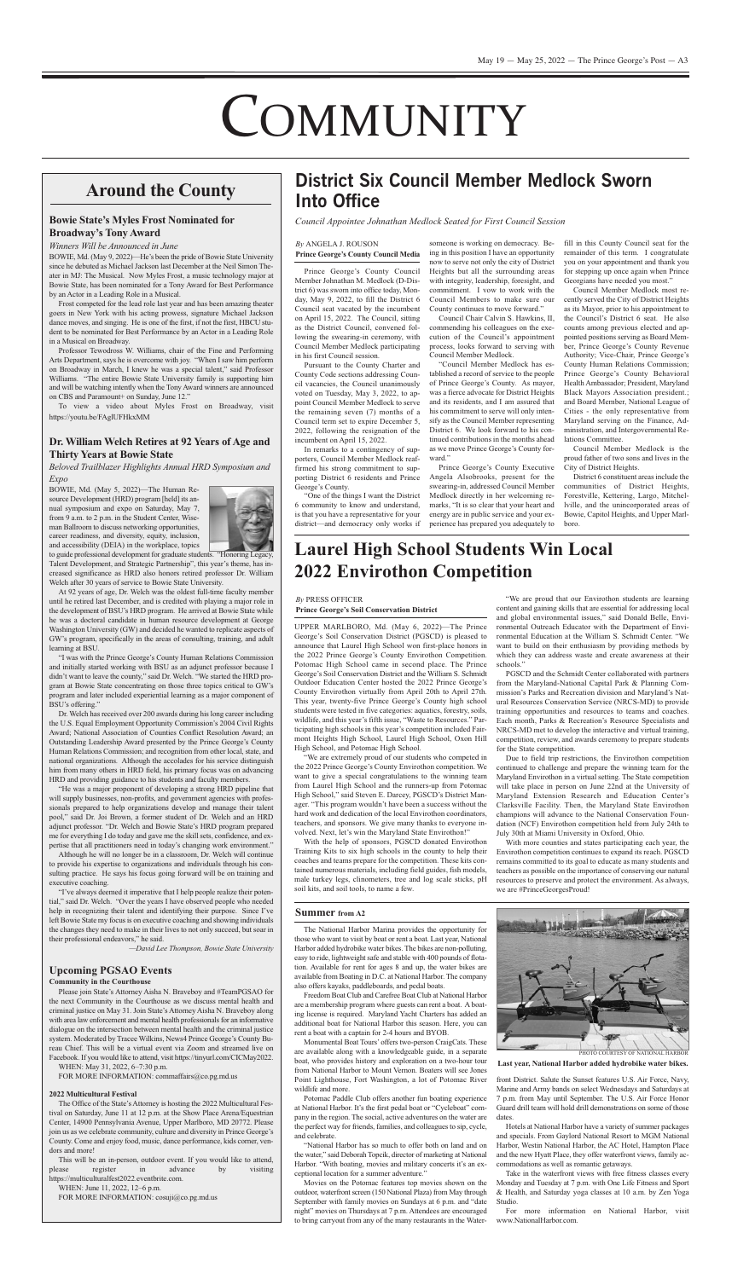# **COMMUNITY**

The National Harbor Marina provides the opportunity for those who want to visit by boat or rent a boat. Last year, National Harbor added hydrobike water bikes. The bikes are non-polluting, easy to ride, lightweight safe and stable with 400 pounds of flotation. Available for rent for ages 8 and up, the water bikes are available from Boating in D.C. at National Harbor. The company also offers kayaks, paddleboards, and pedal boats.

Freedom Boat Club and Carefree Boat Club at National Harbor are a membership program where guests can rent a boat. A boating license is required. Maryland yacht charters has added an additional boat for National Harbor this season. Here, you can rent a boat with a captain for 2-4 hours and ByOB.

Monumental Boat Tours' offers two-person CraigCats. These are available along with a knowledgeable guide, in a separate boat, who provides history and exploration on a two-hour tour from National Harbor to Mount Vernon. Boaters will see Jones Point Lighthouse, Fort Washington, a lot of Potomac River wildlife and more.

"National Harbor has so much to offer both on land and on the water," said Deborah Topcik, director of marketing at National Harbor. "With boating, movies and military concerts it's an exceptional location for a summer adventure."

Potomac Paddle club offers another fun boating experience at national Harbor. It's the first pedal boat or "cycleboat" company in the region. The social, active adventures on the water are the perfect way for friends, families, and colleagues to sip, cycle, and celebrate.

Hotels at National Harbor have a variety of summer packages and specials. From Gaylord National Resort to MGM National Harbor, Westin National Harbor, the AC Hotel, Hampton Place and the new Hyatt Place, they offer waterfront views, family accommodations as well as romantic getaways.

Movies on the Potomac features top movies shown on the outdoor, waterfront screen (150 National Plaza) from May through September with family movies on Sundays at 6 p.m. and "date night" movies on Thursdays at 7 p.m. Attendees are encouraged to bring carryout from any of the many restaurants in the Water-

"We are proud that our Envirothon students are learning content and gaining skills that are essential for addressing local and global environmental issues," said Donald Belle, Environmental Outreach Educator with the Department of Environmental education at the William S. Schmidt center. "We want to build on their enthusiasm by providing methods by which they can address waste and create awareness at their schools."

Take in the waterfront views with free fitness classes every Monday and Tuesday at 7 p.m. with One Life Fitness and Sport & Health, and Saturday yoga classes at 10 a.m. by zen yoga Studio.

For more information on National Harbor, visit www.NationalHarbor.com.

PGSCD and the Schmidt Center collaborated with partners from the Maryland-National Capital Park & Planning Commission's Parks and Recreation division and Maryland's Natural Resources Conservation Service (NRCS-MD) to provide training opportunities and resources to teams and coaches. Each month, Parks & Recreation's Resource Specialists and NRCS-MD met to develop the interactive and virtual training, competition, review, and awards ceremony to prepare students for the State competition. Due to field trip restrictions, the Envirothon competition continued to challenge and prepare the winning team for the Maryland Envirothon in a virtual setting. The State competition will take place in person on June 22nd at the University of Maryland Extension Research and Education Center's Clarksville Facility. Then, the Maryland State Envirothon champions will advance to the National Conservation Foundation (NCF) Envirothon competition held from July 24th to July 30th at Miami University in Oxford, Ohio. With more counties and states participating each year, the Envirothon competition continues to expand its reach. PGSCD remains committed to its goal to educate as many students and teachers as possible on the importance of conserving our natural resources to preserve and protect the environment. As always, we are #PrinceGeorgesProud!

BSU's offering.

Dr. Welch has received over 200 awards during his long career including the U.S. Equal Employment Opportunity Commission's 2004 Civil Rights Award; National Association of Counties Conflict Resolution Award; an Outstanding Leadership Award presented by the Prince George's County Human Relations Commission; and recognition from other local, state, and national organizations. although the accolades for his service distinguish him from many others in HRD field, his primary focus was on advancing HRD and providing guidance to his students and faculty members.

uPPer MarLBOrO, Md. (May 6, 2022)—The Prince George's Soil Conservation District (PGSCD) is pleased to announce that Laurel High School won first-place honors in the 2022 Prince George's County Envirothon Competition. Potomac High School came in second place. The Prince George's Soil Conservation District and the William S. Schmidt Outdoor Education Center hosted the 2022 Prince George's County Envirothon virtually from April 20th to April 27th. This year, twenty-five Prince George's county high school students were tested in five categories: aquatics, forestry, soils, wildlife, and this year's fifth issue, "Waste to Resources." Participating high schools in this year's competition included Fairmont Heights High School, Laurel High School, Oxon Hill High School, and Potomac High School. "We are extremely proud of our students who competed in the 2022 Prince George's County Envirothon competition. We want to give a special congratulations to the winning team from Laurel High School and the runners-up from Potomac High School," said Steven E. Darcey, PGSCD's District Manager. "This program wouldn't have been a success without the hard work and dedication of the local Envirothon coordinators, teachers, and sponsors. We give many thanks to everyone involved. Next, let's win the Maryland State Envirothon!" With the help of sponsors, PGSCD donated Envirothon Training Kits to six high schools in the county to help their coaches and teams prepare for the competition. These kits contained numerous materials, including field guides, fish models, male turkey legs, clinometers, tree and log scale sticks, pH soil kits, and soil tools, to name a few.

to guide professional development for graduate students. "Honoring Legacy, Talent Development, and Strategic Partnership", this year's theme, has increased significance as HRD also honors retired professor Dr. William Welch after 30 years of service to Bowie State University.

At 92 years of age, Dr. Welch was the oldest full-time faculty member until he retired last December, and is credited with playing a major role in the development of BSU's HRD program. He arrived at Bowie State while he was a doctoral candidate in human resource development at George Washington University (GW) and decided he wanted to replicate aspects of GW's program, specifically in the areas of consulting, training, and adult learning at BSU.

"I was with the Prince George's County Human Relations Commission and initially started working with BSU as an adjunct professor because I didn't want to leave the county," said Dr. Welch. "We started the HRD program at Bowie State concentrating on those three topics critical to GW's program and later included experiential learning as a major component of

"He was a major proponent of developing a strong HRD pipeline that will supply businesses, non-profits, and government agencies with professionals prepared to help organizations develop and manage their talent pool," said Dr. Joi Brown, a former student of Dr. Welch and an HRD adjunct professor. "Dr. Welch and Bowie State's HRD program prepared me for everything I do today and gave me the skill sets, confidence, and expertise that all practitioners need in today's changing work environment."

Although he will no longer be in a classroom, Dr. Welch will continue to provide his expertise to organizations and individuals through his consulting practice. He says his focus going forward will be on training and executive coaching.

Please join State's Attorney Aisha N. Braveboy and #TeamPGSAO for the next community in the courthouse as we discuss mental health and criminal justice on May 31. Join State's Attorney Aisha N. Braveboy along with area law enforcement and mental health professionals for an informative dialogue on the intersection between mental health and the criminal justice system. Moderated by Tracee Wilkins, news4 Prince George's county Bureau chief. This will be a virtual event via zoom and streamed live on Facebook. If you would like to attend, visit https://tinyurl.com/cIcMay2022.

The Office of the State's Attorney is hosting the 2022 Multicultural Festival on Saturday, June 11 at 12 p.m. at the Show Place Arena/Equestrian Center, 14900 Pennsylvania Avenue, Upper Marlboro, MD 20772. Please join us as we celebrate community, culture and diversity in Prince George's county. come and enjoy food, music, dance performance, kids corner, vendors and more!

WHen: June 11, 2022, 12–6 p.m. FOR MORE INFORMATION: cosuji@co.pg.md.us **Summer from a2**

### *By* PreSS OFFIcer

### **Prince George's Soil Conservation District**

## **laurel High School Students win local 2022 envirothon Competition**



PHOTO cOurTeSy OF naTIOnaL HarBOr

Pursuant to the county charter and county code sections addressing council vacancies, the council unanimously voted on Tuesday, May 3, 2022, to appoint council Member Medlock to serve the remaining seven (7) months of a Council term set to expire December 5, 2022, following the resignation of the incumbent on April 15, 2022.

**last year, national Harbor added hydrobike water bikes.**

front District. Salute the Sunset features U.S. Air Force, Navy, Marine and Army bands on select Wednesdays and Saturdays at 7 p.m. from May until September. The U.S. Air Force Honor Guard drill team will hold drill demonstrations on some of those dates

## **around the County**

### **Bowie State's Myles Frost nominated for Broadway's tony award**

### *Winners Will be Announced in June*

BOWIE, Md. (May 9, 2022)—He's been the pride of Bowie State University since he debuted as Michael Jackson last December at the Neil Simon Theater in MJ: The Musical. Now Myles Frost, a music technology major at Bowie State, has been nominated for a Tony Award for Best Performance by an Actor in a Leading Role in a Musical.

> "One of the things I want the District 6 community to know and understand, is that you have a representative for your district—and democracy only works if

Frost competed for the lead role last year and has been amazing theater goers in New York with his acting prowess, signature Michael Jackson dance moves, and singing. He is one of the first, if not the first, HBCU student to be nominated for Best Performance by an Actor in a Leading Role in a Musical on Broadway.

> Prince George's County Executive Angela Alsobrooks, present for the swearing-in, addressed council Member Medlock directly in her welcoming remarks, "It is so clear that your heart and energy are in public service and your experience has prepared you adequately to

Professor Tewodross W. Williams, chair of the Fine and Performing Arts Department, says he is overcome with joy. "When I saw him perform on Broadway in March, I knew he was a special talent," said Professor Williams. "The entire Bowie State University family is supporting him and will be watching intently when the Tony Award winners are announced on cBS and Paramount+ on Sunday, June 12."

To view a video about Myles Frost on Broadway, visit https://youtu.be/FagluFHkxMM

> council Member Medlock is the proud father of two sons and lives in the City of District Heights.

### **Dr. william welch Retires at 92 Years of age and thirty Years at Bowie State**

*Beloved Trailblazer Highlights Annual HRD Symposium and Expo*

BOWIE, Md. (May 5, 2022)—The Human Resource Development (HRD) program [held] its annual symposium and expo on Saturday, May 7, from 9 a.m. to 2 p.m. in the Student Center, Wiseman Ballroom to discuss networking opportunities, career readiness, and diversity, equity, inclusion, and accessibility (DEIA) in the workplace, topics



District 6 constituent areas include the communities of District Heights, Forestville, Kettering, Largo, Mitchellville, and the unincorporated areas of Bowie, Capitol Heights, and Upper Marlboro.

"I've always deemed it imperative that I help people realize their potential," said Dr. Welch. "Over the years I have observed people who needed help in recognizing their talent and identifying their purpose. Since I've left Bowie State my focus is on executive coaching and showing individuals the changes they need to make in their lives to not only succeed, but soar in their professional endeavors," he said.

*—David Lee Thompson, Bowie State University*

### **Upcoming PGSaO events**

### **Community in the Courthouse**

WHen: May 31, 2022, 6–7:30 p.m.

FOR MORE INFORMATION: commaffairs@co.pg.md.us

### **2022 Multicultural Festival**

This will be an in-person, outdoor event. If you would like to attend, please register in advance by visiting https://multiculturalfest2022.eventbrite.com.

Prince George's county council Member Johnathan M. Medlock (D-District 6) was sworn into office today, Monday, May 9, 2022, to fill the District  $6$ council seat vacated by the incumbent on april 15, 2022. The council, sitting as the District Council, convened following the swearing-in ceremony, with council Member Medlock participating in his first council session.

In remarks to a contingency of supporters, council Member Medlock reaffirmed his strong commitment to supporting District 6 residents and Prince George's county.

someone is working on democracy. Being in this position I have an opportunity now to serve not only the city of District Heights but all the surrounding areas with integrity, leadership, foresight, and commitment. I vow to work with the council Members to make sure our county continues to move forward."

council chair calvin S. Hawkins, II, commending his colleagues on the execution of the council's appointment process, looks forward to serving with council Member Medlock.

"council Member Medlock has established a record of service to the people of Prince George's county. as mayor, was a fierce advocate for District Heights and its residents, and I am assured that his commitment to serve will only intensify as the council Member representing District 6. We look forward to his continued contributions in the months ahead as we move Prince George's county forward."

fill in this county council seat for the remainder of this term. I congratulate you on your appointment and thank you for stepping up once again when Prince Georgians have needed you most."

council Member Medlock most recently served the City of District Heights as its Mayor, prior to his appointment to the Council's District 6 seat. He also counts among previous elected and appointed positions serving as Board Member, Prince George's County Revenue authority; vice-chair, Prince George's County Human Relations Commission; Prince George's county Behavioral Health Ambassador; President, Maryland Black Mayors Association president.; and Board Member, National League of cities - the only representative from Maryland serving on the Finance, administration, and Intergovernmental Relations committee.

### *By* anGeLa J. rOuSOn **Prince George's County Council Media**

## **District Six Council Member Medlock Sworn Into Office**

*Council Appointee Johnathan Medlock Seated for First Council Session*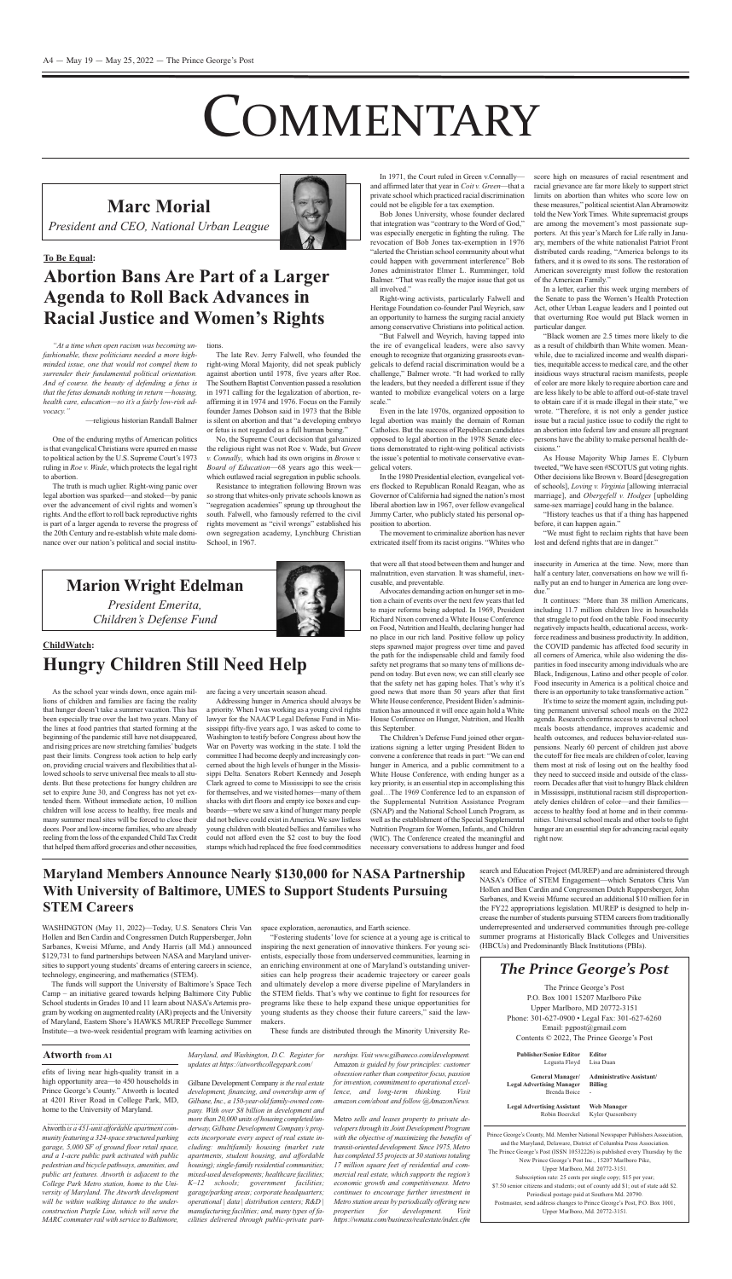WASHINGTON (May 11, 2022)-Today, U.S. Senators Chris Van Hollen and Ben Cardin and Congressmen Dutch Ruppersberger, John Sarbanes, Kweisi Mfume, and andy Harris (all Md.) announced \$129,731 to fund partnerships between NASA and Maryland universities to support young students' dreams of entering careers in science, technology, engineering, and mathematics (STeM).

The funds will support the University of Baltimore's Space Tech camp – an initiative geared towards helping Baltimore city Public School students in Grades 10 and 11 learn about NASA's Artemis program by working on augmented reality (AR) projects and the University of Maryland, Eastern Shore's HAWKS MUREP Precollege Summer Institute—a two-week residential program with learning activities on

space exploration, aeronautics, and Earth science.

"Fostering students' love for science at a young age is critical to inspiring the next generation of innovative thinkers. For young scientists, especially those from underserved communities, learning in an enriching environment at one of Maryland's outstanding universities can help progress their academic trajectory or career goals and ultimately develop a more diverse pipeline of Marylanders in the STeM fields. That's why we continue to fight for resources for programs like these to help expand these unique opportunities for young students as they choose their future careers," said the lawmakers.

These funds are distributed through the Minority University Re-

One of the enduring myths of American politics is that evangelical Christians were spurred en masse to political action by the U.S. Supreme Court's 1973 ruling in *Roe v. Wade*, which protects the legal right to abortion.

The truth is much uglier. Right-wing panic over legal abortion was sparked—and stoked—by panic over the advancement of civil rights and women's rights. And the effort to roll back reproductive rights is part of a larger agenda to reverse the progress of the 20th century and re-establish white male dominance over our nation's political and social institu-

The late Rev. Jerry Falwell, who founded the right-wing Moral Majority, did not speak publicly against abortion until 1978, five years after Roe. The Southern Baptist Convention passed a resolution in 1971 calling for the legalization of abortion, reaffirming it in 1974 and 1976. Focus on the Family founder James Dobson said in 1973 that the Bible is silent on abortion and that "a developing embryo or fetus is not regarded as a full human being."

No, the Supreme Court decision that galvanized the religious right was not Roe v. Wade, but *Green v. Connally*, which had its own origins in *Brown v. Board of Education*—68 years ago this week which outlawed racial segregation in public schools.

Resistance to integration following Brown was so strong that whites-only private schools known as "segregation academies" sprung up throughout the south. Falwell, who famously referred to the civil rights movement as "civil wrongs" established his own segregation academy, Lynchburg christian School, in 1967.

In 1971, the Court ruled in Green v.Connallyand affirmed later that year in *Coit v. Green*—that a private school which practiced racial discrimination could not be eligible for a tax exemption.

*"At a time when open racism was becoming unfashionable, these politicians needed a more highminded issue, one that would not compel them to surrender their fundamental political orientation. And of course. the beauty of defending a fetus is that the fetus demands nothing in return —housing, health care, education—so it's a fairly low-risk advocacy."*

-religious historian Randall Balmer

Bob Jones University, whose founder declared that integration was "contrary to the Word of God," was especially energetic in fighting the ruling. The revocation of Bob Jones tax-exemption in 1976 "alerted the christian school community about what could happen with government interference" Bob Jones administrator Elmer L. Rumminger, told Balmer. "That was really the major issue that got us all involved."

Right-wing activists, particularly Falwell and Heritage Foundation co-founder Paul Weyrich, saw an opportunity to harness the surging racial anxiety among conservative christians into political action.

Even in the late 1970s, organized opposition to legal abortion was mainly the domain of Roman Catholics. But the success of Republican candidates opposed to legal abortion in the 1978 Senate elections demonstrated to right-wing political activists the issue's potential to motivate conservative evangelical voters.

The movement to criminalize abortion has never extricated itself from its racist origins. "Whites who

score high on measures of racial resentment and racial grievance are far more likely to support strict limits on abortion than whites who score low on these measures," political scientist Alan Abramowitz told the New York Times. White supremacist groups are among the movement's most passionate supporters. at this year's March for Life rally in January, members of the white nationalist Patriot Front distributed cards reading, "America belongs to its fathers, and it is owed to its sons. The restoration of American sovereignty must follow the restoration of the American Family."

tions.

As House Majority Whip James E. Clyburn tweeted, "We have seen #ScOTuS gut voting rights. Other decisions like Brown v. Board [desegregation] of schools], *Loving v. Virginia* [allowing interracial marriage], and *Obergefell v. Hodges* [upholding same-sex marriage] could hang in the balance.

**Publisher/Senior editor** Legusta Floyd **editor** Lisa Duan

As the school year winds down, once again mil- are facing a very uncertain season ahead. lions of children and families are facing the reality that hunger doesn't take a summer vacation. This has been especially true over the last two years. Many of the lines at food pantries that started forming at the beginning of the pandemic still have not disappeared, and rising prices are now stretching families'budgets past their limits. congress took action to help early on, providing crucial waivers and flexibilities that allowed schools to serve universal free meals to all students. But these protections for hungry children are set to expire June 30, and congress has not yet extended them. Without immediate action, 10 million children will lose access to healthy, free meals and many summer meal sites will be forced to close their doors. Poor and low-income families, who are already reeling from the loss of the expanded child Tax credit that helped them afford groceries and other necessities,

Addressing hunger in America should always be a priority. When I was working as a young civil rights lawyer for the NAACP Legal Defense Fund in Mississippi fifty-five years ago, I was asked to come to Washington to testify before congress about how the War on Poverty was working in the state. I told the committee I had become deeply and increasingly concerned about the high levels of hunger in the Mississippi Delta. Senators Robert Kennedy and Joseph clark agreed to come to Mississippi to see the crisis for themselves, and we visited homes—many of them shacks with dirt floors and empty ice boxes and cupboards—where we saw a kind of hunger many people did not believe could exist in America. We saw listless young children with bloated bellies and families who could not afford even the \$2 cost to buy the food stamps which had replaced the free food commodities

"But Falwell and Weyrich, having tapped into the ire of evangelical leaders, were also savvy enough to recognize that organizing grassroots evangelicals to defend racial discrimination would be a challenge," Balmer wrote. "It had worked to rally the leaders, but they needed a different issue if they wanted to mobilize evangelical voters on a large scale."

that were all that stood between them and hunger and malnutrition, even starvation. It was shameful, inexcusable, and preventable.

In the 1980 Presidential election, evangelical voters flocked to Republican Ronald Reagan, who as Governor of california had signed the nation's most liberal abortion law in 1967, over fellow evangelical Jimmy carter, who publicly stated his personal opposition to abortion.

Advocates demanding action on hunger set in motion a chain of events over the next few years that led to major reforms being adopted. In 1969, President Richard Nixon convened a White House Conference on Food, Nutrition and Health, declaring hunger had no place in our rich land. Positive follow up policy steps spawned major progress over time and paved the path for the indispensable child and family food safety net programs that so many tens of millions depend on today. But even now, we can still clearly see that the safety net has gaping holes. That's why it's good news that more than 50 years after that first White House conference, President Biden's administration has announced it will once again hold a White House Conference on Hunger, Nutrition, and Health this September. The Children's Defense Fund joined other organizations signing a letter urging President Biden to convene a conference that reads in part: "We can end hunger in America, and a public commitment to a White House conference, with ending hunger as a key priority, is an essential step in accomplishing this goal…The 1969 conference led to an expansion of the Supplemental Nutrition Assistance Program (SNAP) and the National School Lunch Program, as well asthe establishment of the Special Supplemental Nutrition Program for Women, Infants, and Children (WIc). The conference created the meaningful and necessary conversations to address hunger and food

insecurity in America at the time. Now, more than half a century later, conversations on how we will finally put an end to hunger in America are long overdue."

It continues: "More than 38 million Americans, including 11.7 million children live in households that struggle to put food on the table. Food insecurity negatively impacts health, educational access, workforce readiness and business productivity. In addition, the COVID pandemic has affected food security in all corners of America, while also widening the disparities in food insecurity among individuals who are Black, Indigenous, Latino and other people of color. Food insecurity in America is a political choice and there is an opportunity to take transformative action."

In a letter, earlier this week urging members of the Senate to pass the Women's Health Protection Act, other Urban League leaders and I pointed out that overturning Roe would put Black women in particular danger.

## **to Be Equal: abortion Bans are Part of a larger agenda to Roll Back advances in Racial Justice and women's Rights**

"Black women are 2.5 times more likely to die as a result of childbirth than White women. Meanwhile, due to racialized income and wealth disparities, inequitable accessto medical care, and the other insidious ways structural racism manifests, people of color are more likely to require abortion care and are less likely to be able to afford out-of-state travel to obtain care if it is made illegal in their state," we wrote. "Therefore, it is not only a gender justice issue but a racial justice issue to codify the right to an abortion into federal law and ensure all pregnant persons have the ability to make personal health decisions."

Prince George's County, Md. Member National Newspaper Publishers Association, and the Maryland, Delaware, District of Columbia Press Association. The Prince George's Post (ISSn 10532226) is published every Thursday by the New Prince George's Post Inc., 15207 Marlboro Pike, upper Marlboro, Md. 20772-3151. Subscription rate: 25 cents per single copy; \$15 per year; \$7.50 senior citizens and students; out of county add \$1; out of state add \$2. Periodical postage paid at Southern Md. 20790. Postmaster, send address changes to Prince George's Post, P.O. Box 1001, upper Marlboro, Md. 20772-3151.

efits of living near high-quality transit in a high opportunity area—to 450 households in Prince George's County." Atworth is located at 4201 River Road in College Park, MD, home to the University of Maryland.

"History teaches us that if a thing has happened before, it can happen again."

"We must fight to reclaim rights that have been lost and defend rights that are in danger."

**General Manager/ legal advertising Manager** Brenda Boice **administrative assistant/ Billing** -

Gilbane Development Company *is the real estate development, financing, and ownership arm of Gilbane, Inc., a 150-year-old family-owned company. With over \$8 billion in development and more than 20,000 units of housing completed/underway, Gilbane Development Company's projects incorporate every aspect of real estate including: multifamily housing (market rate apartments, student housing, and affordable housing);single-family residential communities; mixed-used developments; healthcare facilities; K–12 schools; government facilities; garage/parking areas; corporate headquarters; operational | data | distribution centers; R&D | manufacturing facilities; and, many types of facilities delivered through public-private part-*

**legal advertising assistant** Robin Boerckel **web Manager** Kyler Quesenberry

# **COMMENTARY**

It'stime to seize the moment again, including put-

ting permanent universal school meals on the 2022 agenda. Research confirms access to universal school meals boosts attendance, improves academic and health outcomes, and reduces behavior-related suspensions. Nearly 60 percent of children just above the cutoff for free meals are children of color, leaving them most at risk of losing out on the healthy food they need to succeed inside and outside of the classroom. Decades after that visit to hungry Black children in Mississippi, institutional racism still disproportionately denies children of color—and their families access to healthy food at home and in their communities. Universal school meals and other tools to fight hunger are an essential step for advancing racial equity right now.



### **Childwatch:**

## **Hungry Children Still need Help**

**Marc Morial**



*President and CEO, National Urban League*

### **Maryland Members announce nearly \$130,000 for naSa Partnership with University of Baltimore, UMeS to Support Students Pursuing SteM Careers**

### *The Prince George's Post*

The Prince George's Post P.O. Box 1001 15207 Marlboro Pike Upper Marlboro, MD 20772-3151 Phone: 301-627-0900 • Legal Fax: 301-627-6260 email: pgpost@gmail.com contents © 2022, The Prince George's Post

atworth *is a 451-unit affordable apartment community featuring a 324-space structured parking garage, 5,000 SF of ground floor retail space, and a 1-acre public park activated with public pedestrian and bicycle pathways, amenities, and public art features. Atworth is adjacent to the College Park Metro station, home to the University of Maryland. The Atworth development will be within walking distance to the underconstruction Purple Line, which will serve the MARC commuterrail with service to Baltimore,*

*Maryland, and Washington, D.C. Register for updates at https://atworthcollegepark.com/*

*nerships. Visit www.gilbaneco.com/development.* amazon *is guided by four principles: customer*  $obsession rather than competitor focus, passion$ *forinvention, commitment to operational excellence, and long-term thinking. Visit amazon.com/about and follow @AmazonNews.*

Metro *sells and leases property to private developersthrough its Joint Development Program with the objective of maximizing the benefits of transit-oriented development. Since 1975, Metro has completed 55 projects at 30 stationstotaling 17 million square feet of residential and commercial real estate, which supports the region's economic growth and competitiveness. Metro continues to encourage further investment in Metro station areas by periodically offering new properties for development. Visit https://wmata.com/business/realestate/index.cfm*

search and Education Project (MUREP) and are administered through NASA's Office of STEM Engagement—which Senators Chris Van Hollen and Ben Cardin and Congressmen Dutch Ruppersberger, John Sarbanes, and Kweisi Mfume secured an additional \$10 million for in the FY22 appropriations legislation. MUREP is designed to help increase the number of students pursuing STEM careers from traditionally underrepresented and underserved communities through pre-college summer programs at Historically Black Colleges and Universities (HBCUs) and Predominantly Black Institutions (PBIs).

### **atworth from a1**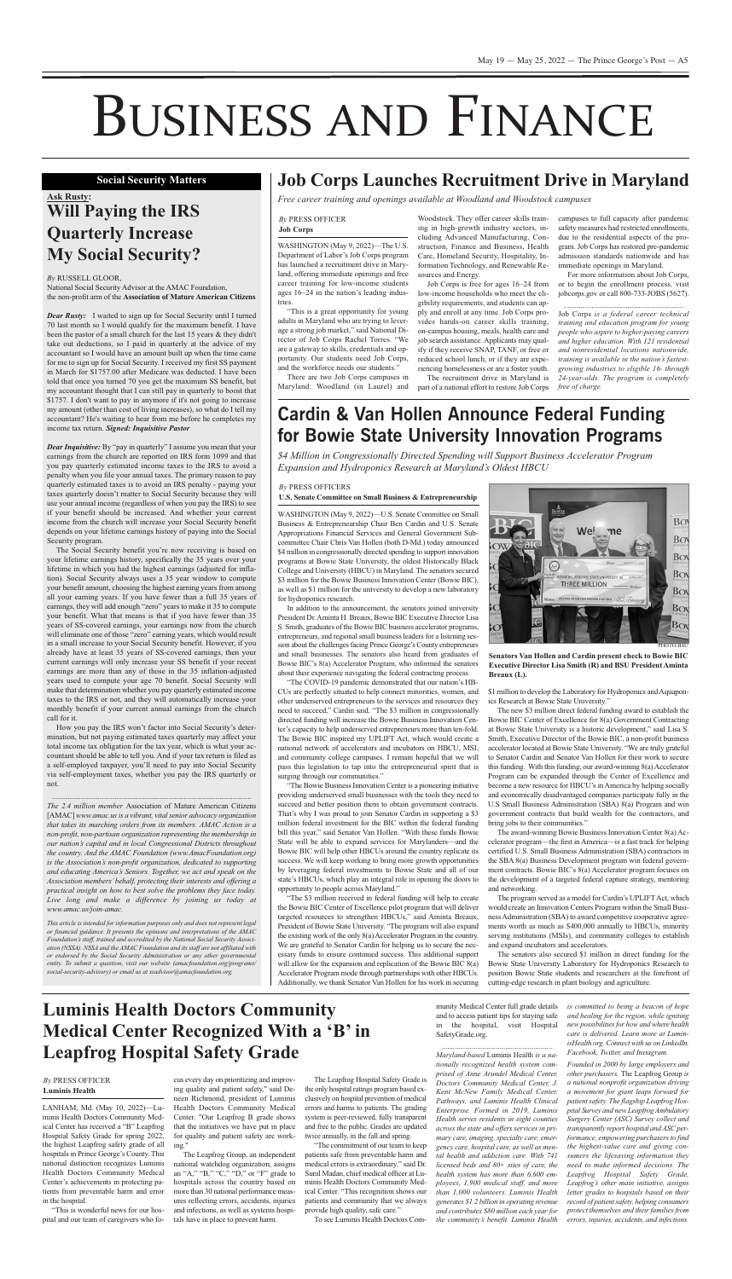WASHINGTON (May 9, 2022)—The U.S. Department of Labor's Job Corps program has launched a recruitment drive in Maryland, offering immediate openings and free career training for low-income students ages 16–24 in the nation's leading industries.

Woodstock. They offer career skills training in high-growth industry sectors, including advanced Manufacturing, construction, Finance and Business, Health care, Homeland Security, Hospitality, Information Technology, and Renewable Resources and Energy.

"This is a great opportunity for young adults in Maryland who are trying to leverage a strong job market," said National Director of Job Corps Rachel Torres. "We are a gateway to skills, credentials and opportunity. Our students need Job corps, and the workforce needs our students."

There are two Job corps campuses in Maryland: Woodland (in Laurel) and

Job corps is free for ages 16–24 from low-income households who meet the eligibility requirements, and students can apply and enroll at any time. Job corps provides hands-on career skills training, on-campus housing, meals, health care and job search assistance. Applicants may qualify if they receive SnaP, TanF, or free or reduced school lunch, or if they are experiencing homelessness or are a foster youth.

National Social Security Advisor at the AMAC Foundation, the non-profit arm of the **association of Mature american Citizens**

> The recruitment drive in Maryland is part of a national effort to restore Job corps

campuses to full capacity after pandemic safety measures had restricted enrollments, due to the residential aspects of the program. Job corps has restored pre-pandemic admission standards nationwide and has immediate openings in Maryland.

*Dear Rusty:* I waited to sign up for Social Security until I turned 70 last month so I would qualify for the maximum benefit. I have been the pastor of a small church for the last 15 years & they didn't take out deductions, so I paid in quarterly at the advice of my accountant so I would have an amount built up when the time came for me to sign up for Social Security. I received my first SS payment in March for \$1757.00 after Medicare was deducted. I have been told that once you turned 70 you get the maximum SS benefit, but my accountant thought that I can still pay in quarterly to boost that \$1757. I don't want to pay in anymore if it's not going to increase my amount (other than cost of living increases), so what do I tell my accountant? He's waiting to hear from me before he completes my income tax return. *Signed: Inquisitive Pastor*

For more information about Job corps, or to begin the enrollment process, visit jobcorps.gov or call 800-733-JOBS (5627).

Job corps *is a federal career technical training and education program for young people who aspire to higher-paying careers and higher education. With 121 residential and nonresidential locations nationwide, training is available in the nation's fastestgrowing industries to eligible 16- through 24-year-olds. The program is completely free of charge.*

### *By* PreSS OFFIcer **Job Corps**

# BUSINESS AND FINANCE

## **ask Rusty: will Paying the iRS Quarterly increase My Social Security?**

### *By* ruSSeLL GLOOr,

How you pay the IRS won't factor into Social Security's determination, but not paying estimated taxes quarterly may affect your total income tax obligation for the tax year, which is what your accountant should be able to tell you. And if your tax return is filed as a self-employed taxpayer, you'll need to pay into Social Security via self-employment taxes, whether you pay the IRS quarterly or not.

*The* 2.4 *million member* Association of Mature American Citizens [aMac] *www.amac.usis a vibrant, vitalsenior advocacy organization that takes its marching orders from its members. AMAC Action is a non-profit, non-partisan organization representing the membership in our nation's capital and in local Congressional Districts throughout the country. And the AMAC Foundation (www.AmacFoundation.org) is the Association's non-profit organization, dedicated to supporting and educating America's Seniors. Together, we act and speak on the Association members'behalf, protecting their interests and offering a practical insight on how to best solve the problems they face today. Live long and make a difference by joining us today at www.amac.us/join-amac.*

*Dear Inquisitive:* By "pay in quarterly" I assume you mean that your earnings from the church are reported on IRS form 1099 and that you pay quarterly estimated income taxes to the IRS to avoid a penalty when you file your annual taxes. The primary reason to pay quarterly estimated taxes is to avoid an IRS penalty - paying your taxes quarterly doesn't matter to Social Security because they will use your annual income (regardless of when you pay the IRS) to see if your benefit should be increased. And whether your current income from the church will increase your Social Security benefit depends on your lifetime earnings history of paying into the Social Security program.

WASHINGTON (May 9, 2022)-U.S. Senate Committee on Small Business & Entrepreneurship Chair Ben Cardin and U.S. Senate appropriations Financial Services and General Government Subcommittee Chair Chris Van Hollen (both D-Md.) today announced \$4 million in congressionally directed spending to support innovation programs at Bowie State University, the oldest Historically Black College and University (HBCU) in Maryland. The senators secured \$3 million for the Bowie Business Innovation Center (Bowie BIC), as well as \$1 million for the university to develop a new laboratory for hydroponics research.

The Social Security benefit you're now receiving is based on your lifetime earnings history, specifically the 35 years over your lifetime in which you had the highest earnings (adjusted for inflation). Social Security always uses a 35 year window to compute your benefit amount, choosing the highest earning years from among all your earning years. If you have fewer than a full 35 years of earnings, they will add enough "zero" years to make it 35 to compute your benefit. What that means is that if you have fewer than 35 years of SS-covered earnings, your earnings now from the church will eliminate one of those "zero" earning years, which would result in a small increase to your Social Security benefit. However, if you already have at least 35 years of SS-covered earnings, then your current earnings will only increase your SS benefit if your recent earnings are more than any of those in the 35 inflation-adjusted years used to compute your age 70 benefit. Social Security will make that determination whether you pay quarterly estimated income taxes to the IrS or not, and they will automatically increase your

"The COVID-19 pandemic demonstrated that our nation's HB-CUs are perfectly situated to help connect minorities, women, and other underserved entrepreneurs to the services and resources they need to succeed," cardin said. "The \$3 million in congressionally directed funding will increase the Bowie Business Innovation center's capacity to help underserved entrepreneurs more than ten-fold. The Bowie BIC inspired my UPLIFT Act, which would create a national network of accelerators and incubators on HBcu, MSI, and community college campuses. I remain hopeful that we will pass this legislation to tap into the entrepreneurial spirit that is surging through our communities." "The Bowie Business Innovation Center is a pioneering initiative providing underserved small businesses with the tools they need to succeed and better position them to obtain government contracts. That's why I was proud to join Senator cardin in supporting a \$3 million federal investment for the BIc within the federal funding bill this year," said Senator van Hollen. "With these funds Bowie State will be able to expand services for Marylanders—and the Bowie BIC will help other HBCUs around the country replicate its success. We will keep working to bring more growth opportunities by leveraging federal investments to Bowie State and all of our state's HBCUs, which play an integral role in opening the doors to opportunity to people across Maryland." "The \$3 million received in federal funding will help to create the Bowie BIC Center of Excellence pilot program that will deliver targeted resources to strengthen HBCUs," said Aminta Breaux, President of Bowie State University. "The program will also expand the existing work of the only  $8(a)$  Accelerator Program in the country. We are grateful to Senator cardin for helping us to secure the necessary funds to ensure continued success. This additional support will allow for the expansion and replication of the Bowie BIC 8(a) Accelerator Program mode through partnerships with other HBCUs. additionally, we thank Senator van Hollen for his work in securing

monthly benefit if your current annual earnings from the church call for it.

> The award-winning Bowie Business Innovation Center 8(a) Accelerator program—the first in America—is a fast track for helping certified U.S. Small Business Administration (SBA) contractors in the SBA 8(a) Business Development program win federal government contracts. Bowie BIC's 8(a) Accelerator program focuses on the development of a targeted federal capture strategy, mentoring and networking.

> The program served as a model for Cardin's UPLIFT Act, which would create an Innovation centers Program within the Small Business Administration (SBA) to award competitive cooperative agreements worth as much as \$400,000 annually to HBCUs, minority serving institutions (MSIs), and community colleges to establish and expand incubators and accelerators.

*This article is intended for information purposes only and does not represent legal or financial guidance. It presents the opinions and interpretations of the AMAC Foundation's staff, trained and accredited by the National Social Security Association (NSSA). NSSA and the AMAC Foundation and its staff are not affiliated with or endorsed by the Social Security Administration or any other governmental entity. To submit a question, visit our website (amacfoundation.org/programs/ social-security-advisory) or email us at ssadvisor@amacfoundation.org.*

### **Social Security Matters**

In addition to the announcement, the senators joined university President Dr. Aminta H. Breaux, Bowie BIC Executive Director Lisa S. Smith, graduates of the Bowie BIc business accelerator programs, entrepreneurs, and regional small business leaders for a listening session about the challenges facing Prince George's County entrepreneurs and small businesses. The senators also heard from graduates of Bowie BIC's 8(a) Accelerator Program, who informed the senators about their experience navigating the federal contracting process.

> The new \$3 million direct federal funding award to establish the Bowie BIC Center of Excellence for 8(a) Government Contracting at Bowie State University is a historic development," said Lisa S. Smith, Executive Director of the Bowie BIC, a non-profit business accelerator located at Bowie State University. "We are truly grateful to Senator cardin and Senator van Hollen for their work to secure this funding. With this funding, our award-winning  $8(a)$  Accelerator Program can be expanded through the Center of Excellence and become a new resource for HBCU's in America by helping socially and economically disadvantaged companies participate fully in the U.S Small Business Administration (SBA) 8(a) Program and win government contracts that build wealth for the contractors, and bring jobs to their communities."

> The senators also secured \$1 million in direct funding for the Bowie State University Laboratory for Hydroponics Research to position Bowie State students and researchers at the forefront of cutting-edge research in plant biology and agriculture.

### *By* PreSS OFFIcerS

### **U.S. Senate Committee on Small Business & entrepreneurship**

## **Cardin & Van Hollen Announce Federal Funding for Bowie State University Innovation Programs**

*\$4 Million in Congressionally Directed Spending will Support Business Accelerator Program Expansion and Hydroponics Research at Maryland's Oldest HBCU*



**Senators Van Hollen and Cardin present check to Bowie BiC executive Director lisa Smith (R) and BSU President aminta Breaux (l).**

\$1 million to develop the Laboratory for Hydroponics and Aquaponics Research at Bowie State University."

## **Job Corps launches Recruitment Drive in Maryland**

*Free career training and openings available at Woodland and Woodstock campuses*

LanHaM, Md. (May 10, 2022)—Luminis Health Doctors Community Medical center has received a "B" Leapfrog Hospital Safety Grade for spring 2022, the highest Leapfrog safety grade of all hospitals in Prince George's County. This national distinction recognizes Luminis Health Doctors Community Medical center's achievements in protecting patients from preventable harm and error in the hospital.

"This is wonderful news for our hospital and our team of caregivers who focus every day on prioritizing and improving quality and patient safety," said Deneen Richmond, president of Luminis Health Doctors Community Medical center. "Our Leapfrog B grade shows that the initiatives we have put in place for quality and patient safety are working."

The Leapfrog Group, an independent national watchdog organization, assigns an "A," "B," "C," "D," or "F" grade to hospitals across the country based on more than 30 national performance measures reflecting errors, accidents, injuries and infections, as well as systems hospitals have in place to prevent harm.

The Leapfrog Hospital Safety Grade is the only hospital ratings program based exclusively on hospital prevention of medical errors and harms to patients. The grading system is peer-reviewed, fully transparent and free to the public. Grades are updated twice annually, in the fall and spring.

"The commitment of our team to keep patients safe from preventable harm and medical errors is extraordinary," said Dr. Sunil Madan, chief medical officer at Luminis Health Doctors Community Medical center. "This recognition shows our patients and community that we always provide high quality, safe care."

To see Luminis Health Doctors Com-

munity Medical center full grade details and to access patient tips for staying safe in the hospital, visit Hospital SafetyGrade.org.

*Maryland-based* Luminis Health *is a nationally recognized health system comprised of Anne Arundel Medical Center, Doctors Community Medical Center, J. Kent McNew Family Medical Center, Pathways, and Luminis Health Clinical Enterprise. Formed in 2019, Luminis Health serves residents in eight counties across the state and offers services in primary care, imaging, specialty care, emergency care, hospital care, as well as mental health and addiction care. With 741 licensed beds and 80+ sites of care, the health system has more than 6,600 employees, 1,900 medical staff, and more than 1,000 volunteers. Luminis Health generates \$1.2 billion in operating revenue and contributes \$80 million each year for the community's benefit. Luminis Health*

*is committed to being a beacon of hope and healing for the region, while igniting new possibilitiesfor how and where health care is delivered. Learn more at LuminisHealth.org. Connect with us on LinkedIn, Facebook, Twitter, and Instagram.*

*Founded in 2000 by large employers and other purchasers,* The Leapfrog Group *is a national nonprofit organization driving a movement for giant leaps forward for patientsafety. The flagship Leapfrog Hospital Survey and new LeapfrogAmbulatory Surgery Center (ASC) Survey collect and transparently report hospital andASC performance, empowering purchasers to find the highest-value care and giving consumers the lifesaving information they need to make informed decisions. The Leapfrog Hospital Safety Grade, Leapfrog's other main initiative, assigns letter grades to hospitals based on their*  $record$  *of patient safety, helping consumers protect themselves and theirfamiliesfrom errors, injuries, accidents, and infections.*

### *By* PreSS OFFIcer **luminis Health**

## **luminis Health Doctors Community Medical Center Recognized with a 'B' in leapfrog Hospital Safety Grade**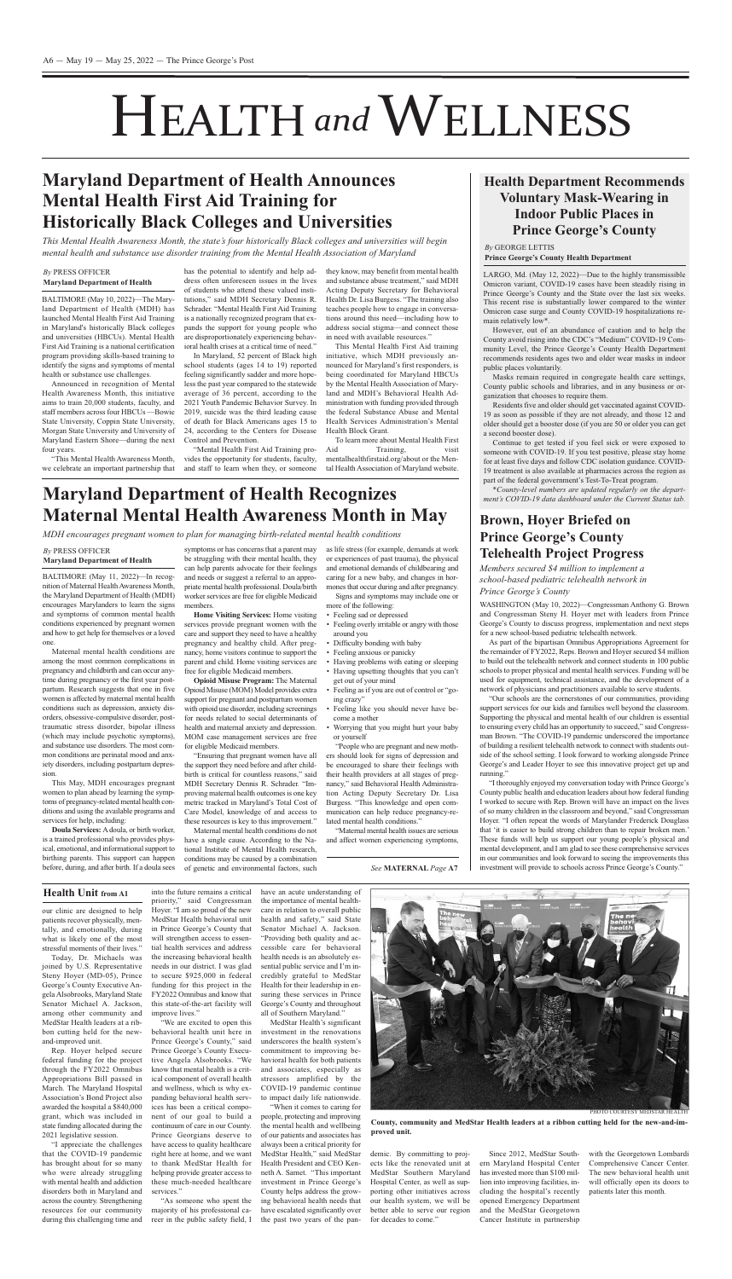our clinic are designed to help patients recover physically, mentally, and emotionally, during what is likely one of the most stressful moments of their lives."

Today, Dr. Michaels was joined by U.S. Representative Steny Hoyer (MD-05), Prince George's County Executive Angela alsobrooks, Maryland State Senator Michael A. Jackson, among other community and MedStar Health leaders at a ribbon cutting held for the newand-improved unit.

Rep. Hoyer helped secure federal funding for the project through the Fy2022 Omnibus appropriations Bill passed in March. The Maryland Hospital association's Bond Project also awarded the hospital a \$840,000 grant, which was included in state funding allocated during the 2021 legislative session.

"We are excited to open this behavioral health unit here in Prince George's county," said Prince George's County Executive angela alsobrooks. "We know that mental health is a critical component of overall health and wellness, which is why expanding behavioral health services has been a critical component of our goal to build a continuum of care in our County. Prince Georgians deserve to have access to quality healthcare right here at home, and we want to thank MedStar Health for helping provide greater access to these much-needed healthcare services."

"I appreciate the challenges that the COVID-19 pandemic has brought about for so many who were already struggling with mental health and addiction disorders both in Maryland and across the country. Strengthening resources for our community during this challenging time and

"As someone who spent the majority of his professional career in the public safety field, I

into the future remains a critical priority," said congressman Hoyer. "I am so proud of the new MedStar Health behavioral unit in Prince George's county that will strengthen access to essential health services and address the increasing behavioral health needs in our district. I was glad to secure \$925,000 in federal funding for this project in the Fy2022 Omnibus and know that this state-of-the-art facility will improve lives."

BALTIMORE (May 11, 2022)—In recognition of Maternal Health Awareness Month, the Maryland Department of Health (MDH) encourages Marylanders to learn the signs and symptoms of common mental health conditions experienced by pregnant women and how to get help for themselves or a loved one.

> have an acute understanding of the importance of mental healthcare in relation to overall public health and safety," said State Senator Michael A. Jackson. "Providing both quality and accessible care for behavioral health needs is an absolutely essential public service and I'm incredibly grateful to MedStar Health for their leadership in ensuring these services in Prince George's county and throughout all of Southern Maryland."

This May, MDH encourages pregnant women to plan ahead by learning the symptoms of pregnancy-related mental health conditions and using the available programs and services for help, including:

**Doula Services:** A doula, or birth worker, is a trained professional who provides physical, emotional, and informational support to birthing parents. This support can happen before, during, and after birth. If a doula sees

symptoms or has concerns that a parent may be struggling with their mental health, they can help parents advocate for their feelings and needs or suggest a referral to an appropriate mental health professional. Doula/birth worker services are free for eligible Medicaid members.

> MedStar Health's significant investment in the renovations underscores the health system's commitment to improving behavioral health for both patients and associates, especially as stressors amplified by the COVID-19 pandemic continue to impact daily life nationwide. "When it comes to caring for

people, protecting and improving the mental health and wellbeing of our patients and associates has always been a critical priority for MedStar Health," said MedStar Health President and CEO Kenneth A. Samet. "This important investment in Prince George's county helps address the growing behavioral health needs that have escalated significantly over the past two years of the pan-

Π PHOTO COURTESY MEDSTAR HEALTH

demic. By committing to projects like the renovated unit at MedStar Southern Maryland Hospital center, as well as supporting other initiatives across our health system, we will be better able to serve our region for decades to come."

Since 2012, MedStar Southern Maryland Hospital center has invested more than \$100 million into improving facilities, including the hospital's recently opened Emergency Department and the MedStar Georgetown cancer Institute in partnership

"People who are pregnant and new mothers should look for signs of depression and be encouraged to share their feelings with their health providers at all stages of pregnancy," said Behavioral Health Administration Acting Deputy Secretary Dr. Lisa Burgess. "This knowledge and open communication can help reduce pregnancy-related mental health conditions."

> with the Georgetown Lombardi comprehensive cancer center. The new behavioral health unit will officially open its doors to patients later this month.

WASHINGTON (May 10, 2022)—Congressman Anthony G. Brown and congressman Steny H. Hoyer met with leaders from Prince George's county to discuss progress, implementation and next steps for a new school-based pediatric telehealth network.

As part of the bipartisan Omnibus Appropriations Agreement for the remainder of FY2022, Reps. Brown and Hoyer secured \$4 million to build out the telehealth network and connect students in 100 public schools to proper physical and mental health services. Funding will be used for equipment, technical assistance, and the development of a network of physicians and practitioners available to serve students.

support services for our kids and families well beyond the classroom. Supporting the physical and mental health of our children is essential to ensuring every child has an opportunity to succeed," said congressman Brown. "The COVID-19 pandemic underscored the importance of building a resilient telehealth network to connect with students outside of the school setting. I look forward to working alongside Prince George's and Leader Hoyer to see this innovative project get up and running.'

Maternal mental health conditions are among the most common complications in pregnancy and childbirth and can occur anytime during pregnancy or the first year postpartum. Research suggests that one in five women is affected by maternal mental health conditions such as depression, anxiety disorders, obsessive-compulsive disorder, posttraumatic stress disorder, bipolar illness (which may include psychotic symptoms), and substance use disorders. The most common conditions are perinatal mood and anxiety disorders, including postpartum depression.

BALTIMORE (May 10, 2022)—The Maryland Department of Health (MDH) has launched Mental Health First Aid Training in Maryland's historically Black colleges and universities (HBCUs). Mental Health First Aid Training is a national certification program providing skills-based training to identify the signs and symptoms of mental health or substance use challenges.

Announced in recognition of Mental Health awareness Month, this initiative aims to train 20,000 students, faculty, and staff members across four HBCUs -- Bowie State University, Coppin State University, Morgan State University and University of Maryland Eastern Shore—during the next four years.

"This Mental Health Awareness Month, we celebrate an important partnership that

> **Home Visiting Services:** Home visiting services provide pregnant women with the care and support they need to have a healthy pregnancy and healthy child. after pregnancy, home visitors continue to support the parent and child. Home visiting services are free for eligible Medicaid members.

**Opioid Misuse Program:** The Maternal support for pregnant and postpartum women

with opioid use disorder, including screenings for needs related to social determinants of health and maternal anxiety and depression. MOM case management services are free for eligible Medicaid members.

"Mental Health First Aid Training provides the opportunity for students, faculty, and staff to learn when they, or someone

"ensuring that pregnant women have all the support they need before and after childbirth is critical for countless reasons," said MDH Secretary Dennis R. Schrader. "Improving maternal health outcomes is one key metric tracked in Maryland's Total cost of care Model, knowledge of and access to these resources is key to this improvement."

This Mental Health First Aid training initiative, which MDH previously announced for Maryland's first responders, is being coordinated for Maryland HBCUs by the Mental Health Association of Maryland and MDH's Behavioral Health Administration with funding provided through the federal Substance abuse and Mental Health Services Administration's Mental Health Block Grant.

To learn more about Mental Health First Aid Training, visit mentalhealthfirstaid.org/about or the Mental Health Association of Maryland website.

Maternal mental health conditions do not have a single cause. According to the National Institute of Mental Health research, conditions may be caused by a combination of genetic and environmental factors, such

LARGO, Md. (May 12, 2022)—Due to the highly transmissible Omicron variant, COVID-19 cases have been steadily rising in Prince George's county and the State over the last six weeks. This recent rise is substantially lower compared to the winter Omicron case surge and County COVID-19 hospitalizations remain relatively low\*.

as life stress (for example, demands at work or experiences of past trauma), the physical and emotional demands of childbearing and caring for a new baby, and changes in hormonesthat occur during and after pregnancy. Signs and symptoms may include one or more of the following:

- Feeling sad or depressed
- Feeling overly irritable or angry with those around you
- Difficulty bonding with baby
- Feeling anxious or panicky
- Having problems with eating or sleeping
- Having upsetting thoughts that you can't get out of your mind
- Opioid Misuse (MOM) Model provides extra Feeling asif you are out of control or "going crazy" • Feeling like you should never have be-

Residents five and older should get vaccinated against COVID-19 as soon as possible if they are not already, and those 12 and older should get a booster dose (if you are 50 or older you can get a second booster dose).

come a mother • Worrying that you might hurt your baby or yourself

"Maternal mental health issues are serious and affect women experiencing symptoms,

# HEALTH and WELLNESS

### **Brown, Hoyer Briefed on Prince George's County telehealth Project Progress**

*Members secured \$4 million to implement a school-based pediatric telehealth network in Prince George's County*

"Our schools are the cornerstones of our communities, providing

"I thoroughly enjoyed my conversation today with Prince George's county public health and education leaders about how federal funding I worked to secure with Rep. Brown will have an impact on the lives of so many children in the classroom and beyond," said congressman Hoyer. "I often repeat the words of Marylander Frederick Douglass that 'it is easier to build strong children than to repair broken men.' These funds will help us support our young people's physical and mental development, and I am glad to see these comprehensive services in our communities and look forward to seeing the improvements this investment will provide to schools across Prince George's county."

### *By* PreSS OFFIcer **Maryland Department of Health**

## **Maryland Department of Health Recognizes Maternal Mental Health awareness Month in May**

*MDH encourages pregnant women to plan for managing birth-related mental health conditions*

**County, community and MedStar Health leaders at a ribbon cutting held for the new-and-improved unit.**

*See* **MateRnal** *Page* **a7**

### **Health Unit from a1**

has the potential to identify and help address often unforeseen issues in the lives of students who attend these valued institutions," said MDH Secretary Dennis R. Schrader. "Mental Health First Aid Training is a nationally recognized program that expands the support for young people who are disproportionately experiencing behavioral health crises at a critical time of need."

In Maryland, 52 percent of Black high school students (ages 14 to 19) reported feeling significantly sadder and more hopeless the past year compared to the statewide average of 36 percent, according to the 2021 youth Pandemic Behavior Survey. In 2019, suicide was the third leading cause of death for Black americans ages 15 to 24, according to the Centers for Disease control and Prevention.

they know, may benefit from mental health and substance abuse treatment," said MDH Acting Deputy Secretary for Behavioral Health Dr. Lisa Burgess. "The training also teaches people how to engage in conversations around this need—including how to address social stigma—and connect those in need with available resources."

## **Maryland Department of Health announces Mental Health First aid training for Historically Black Colleges and Universities**

*This Mental Health Awareness Month, the state's four historically Black colleges and universities will begin mental health and substance use disorder training from the Mental Health Association of Maryland*

### *By* PreSS OFFIcer **Maryland Department of Health**

However, out of an abundance of caution and to help the County avoid rising into the CDC's "Medium" COVID-19 Community Level, the Prince George's County Health Department recommends residents ages two and older wear masks in indoor public places voluntarily.

Masks remain required in congregate health care settings, county public schools and libraries, and in any business or organization that chooses to require them.

continue to get tested if you feel sick or were exposed to someone with COVID-19. If you test positive, please stay home for at least five days and follow CDC isolation guidance. COVID-19 treatment is also available at pharmacies across the region as part of the federal government's Test-To-Treat program.

*\*County-level numbers are updated regularly on the department's COVID-19 data dashboard under the Current Status tab.*

*By* GeOrGe LeTTIS **Prince George's County Health Department**

### **Health Department Recommends Voluntary Mask-wearing in indoor Public Places in Prince George's County**